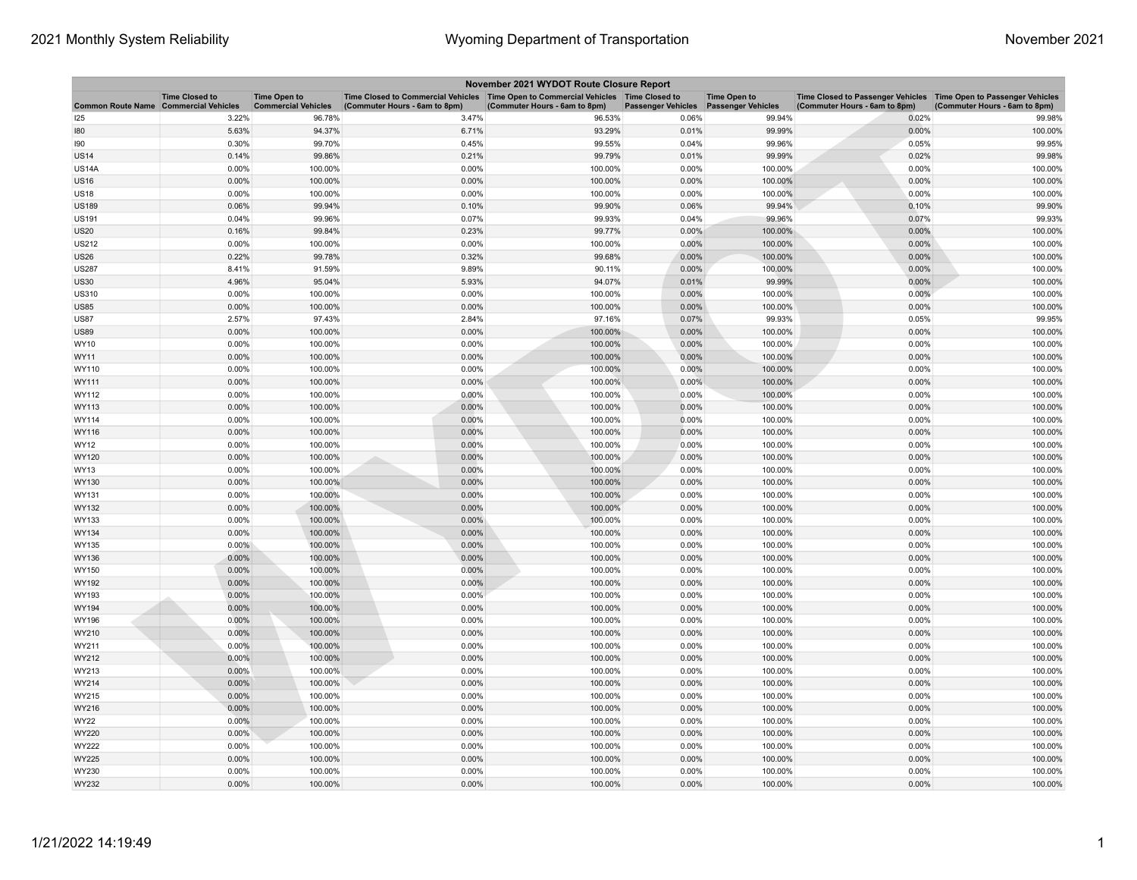| November 2021 WYDOT Route Closure Report |                                                     |                                                   |                                                                                                                       |                               |                           |                                                  |                                                                                                      |                               |  |
|------------------------------------------|-----------------------------------------------------|---------------------------------------------------|-----------------------------------------------------------------------------------------------------------------------|-------------------------------|---------------------------|--------------------------------------------------|------------------------------------------------------------------------------------------------------|-------------------------------|--|
| <b>Common Route Name</b>                 | <b>Time Closed to</b><br><b>Commercial Vehicles</b> | <b>Time Open to</b><br><b>Commercial Vehicles</b> | Time Closed to Commercial Vehicles  Time Open to Commercial Vehicles  Time Closed to<br>(Commuter Hours - 6am to 8pm) | (Commuter Hours - 6am to 8pm) | <b>Passenger Vehicles</b> | <b>Time Open to</b><br><b>Passenger Vehicles</b> | Time Closed to Passenger Vehicles   Time Open to Passenger Vehicles<br>(Commuter Hours - 6am to 8pm) | (Commuter Hours - 6am to 8pm) |  |
| 125                                      | 3.22%                                               | 96.78%                                            | 3.47%                                                                                                                 | 96.53%                        | 0.06%                     | 99.94%                                           | 0.02%                                                                                                | 99.98%                        |  |
| 180                                      | 5.63%                                               | 94.37%                                            | 6.71%                                                                                                                 | 93.29%                        | 0.01%                     | 99.99%                                           | 0.00%                                                                                                | 100.00%                       |  |
| 190                                      | 0.30%                                               | 99.70%                                            | 0.45%                                                                                                                 | 99.55%                        | 0.04%                     | 99.96%                                           | 0.05%                                                                                                | 99.95%                        |  |
| US14                                     | 0.14%                                               | 99.86%                                            | 0.21%                                                                                                                 | 99.79%                        | 0.01%                     | 99.99%                                           | 0.02%                                                                                                | 99.98%                        |  |
| US14A                                    | 0.00%                                               | 100.00%                                           | 0.00%                                                                                                                 | 100.00%                       | 0.00%                     | 100.00%                                          | 0.00%                                                                                                | 100.00%                       |  |
| <b>JS16</b>                              | 0.00%                                               | 100.00%                                           | 0.00%                                                                                                                 | 100.00%                       | 0.00%                     | 100.00%                                          | 0.00%                                                                                                | 100.00%                       |  |
| <b>US18</b>                              | 0.00%                                               | 100.00%                                           | 0.00%                                                                                                                 | 100.00%                       | 0.00%                     | 100.00%                                          | 0.00%                                                                                                | 100.00%                       |  |
| <b>US189</b>                             | 0.06%                                               | 99.94%                                            | 0.10%                                                                                                                 | 99.90%                        | 0.06%                     | 99.94%                                           | 0.10%                                                                                                | 99.90%                        |  |
| US191                                    | 0.04%                                               | 99.96%                                            | 0.07%                                                                                                                 | 99.93%                        | 0.04%                     | 99.96%                                           | 0.07%                                                                                                | 99.93%                        |  |
| <b>JS20</b>                              | 0.16%                                               | 99.84%                                            | 0.23%                                                                                                                 | 99.77%                        | 0.00%                     | 100.00%                                          | 0.00%                                                                                                | 100.00%                       |  |
| <b>US212</b>                             | 0.00%                                               | 100.00%                                           | 0.00%                                                                                                                 | 100.00%                       | 0.00%                     | 100.00%                                          | 0.00%                                                                                                | 100.00%                       |  |
| <b>JS26</b>                              | 0.22%                                               | 99.78%                                            | 0.32%                                                                                                                 | 99.68%                        | 0.00%                     | 100.00%                                          | 0.00%                                                                                                | 100.00%                       |  |
| <b>JS287</b>                             | 8.41%                                               | 91.59%                                            | 9.89%                                                                                                                 | 90.11%                        | 0.00%                     | 100.00%                                          | 0.00%                                                                                                | 100.00%                       |  |
| <b>JS30</b>                              | 4.96%                                               | 95.04%                                            | 5.93%                                                                                                                 | 94.07%                        | 0.01%                     | 99.99%                                           | 0.00%                                                                                                | 100.00%                       |  |
| <b>JS310</b>                             | 0.00%                                               | 100.00%                                           | 0.00%                                                                                                                 | 100.00%                       | 0.00%                     | 100.00%                                          | 0.00%                                                                                                | 100.00%                       |  |
| <b>JS85</b>                              | 0.00%                                               | 100.00%                                           | 0.00%                                                                                                                 | 100.00%                       | 0.00%                     | 100.00%                                          | 0.00%                                                                                                | 100.00%                       |  |
| US87                                     | 2.57%                                               | 97.43%                                            | 2.84%                                                                                                                 | 97.16%                        | 0.07%                     | 99.93%                                           | 0.05%                                                                                                | 99.95%                        |  |
| <b>JS89</b>                              | $0.00\%$                                            | 100.00%                                           | 0.00%                                                                                                                 | 100.00%                       | 0.00%                     | 100.00%                                          | 0.00%                                                                                                | 100.00%                       |  |
| WY10                                     | 0.00%                                               | 100.00%                                           | 0.00%                                                                                                                 | 100.00%                       | 0.00%                     | 100.00%                                          | 0.00%                                                                                                | 100.00%                       |  |
| WY11                                     | 0.00%                                               | 100.00%                                           | 0.00%                                                                                                                 | 100.00%                       | 0.00%                     | 100.00%                                          | 0.00%                                                                                                | 100.00%                       |  |
| WY110                                    | 0.00%                                               | 100.00%                                           | 0.00%                                                                                                                 | 100.00%                       | 0.00%                     | 100.00%                                          | 0.00%                                                                                                | 100.00%                       |  |
| WY111                                    | 0.00%                                               | 100.00%                                           | 0.00%                                                                                                                 | 100.00%                       | $0.00\%$                  | 100.00%                                          | 0.00%                                                                                                | 100.00%                       |  |
| WY112                                    | 0.00%                                               | 100.00%                                           | 0.00%                                                                                                                 | 100.00%                       | 0.00%                     | 100.00%                                          | 0.00%                                                                                                | 100.00%                       |  |
| WY113                                    | 0.00%                                               | 100.00%                                           | 0.00%                                                                                                                 | 100.00%                       | 0.00%                     | 100.00%                                          | 0.00%                                                                                                | 100.00%                       |  |
| WY114                                    | 0.00%                                               | 100.00%                                           | 0.00%                                                                                                                 | 100.00%                       | 0.00%                     | 100.00%                                          | 0.00%                                                                                                | 100.00%                       |  |
| WY116                                    | 0.00%                                               | 100.00%                                           | 0.00%                                                                                                                 | 100.00%                       | 0.00%                     | 100.00%                                          | 0.00%                                                                                                | 100.00%                       |  |
| WY12                                     | 0.00%                                               | 100.00%                                           | 0.00%                                                                                                                 | 100.00%                       | 0.00%                     | 100.00%                                          | 0.00%                                                                                                | 100.00%                       |  |
| WY120                                    | 0.00%                                               | 100.00%                                           | 0.00%                                                                                                                 | 100.00%                       | 0.00%                     | 100.00%                                          | 0.00%                                                                                                | 100.00%                       |  |
| WY13                                     | 0.00%                                               | 100.00%                                           | 0.00%                                                                                                                 | 100.00%                       | 0.00%                     | 100.00%                                          | 0.00%                                                                                                | 100.00%                       |  |
| WY130                                    | 0.00%                                               | 100.00%                                           | 0.00%                                                                                                                 | 100.00%                       | 0.00%                     | 100.00%                                          | 0.00%                                                                                                | 100.00%                       |  |
| WY131                                    | 0.00%                                               | 100.00%                                           | 0.00%                                                                                                                 | 100.00%                       | 0.00%                     | 100.00%                                          | 0.00%                                                                                                | 100.00%                       |  |
| WY132                                    | 0.00%                                               | 100.00%                                           | 0.00%                                                                                                                 | 100.00%                       | 0.00%                     | 100.00%                                          | 0.00%                                                                                                | 100.00%                       |  |
| WY133                                    | 0.00%                                               | 100.00%                                           | 0.00%                                                                                                                 | 100.00%                       | 0.00%                     | 100.00%                                          | 0.00%                                                                                                | 100.00%                       |  |
| WY134                                    | 0.00%                                               | 100.00%                                           | 0.00%                                                                                                                 | 100.00%                       | 0.00%                     | 100.00%                                          | 0.00%                                                                                                | 100.00%                       |  |
| WY135                                    | $0.00\%$                                            | 100.00%                                           | 0.00%                                                                                                                 | 100.00%                       | 0.00%                     | 100.00%                                          | 0.00%                                                                                                | 100.00%                       |  |
| WY136                                    | 0.00%                                               | 100.00%                                           | 0.00%                                                                                                                 | 100.00%                       | 0.00%                     | 100.00%                                          | 0.00%                                                                                                | 100.00%                       |  |
| WY150                                    | 0.00%                                               | 100.00%                                           | 0.00%                                                                                                                 | 100.00%                       | 0.00%                     | 100.00%                                          | 0.00%                                                                                                | 100.00%                       |  |
| WY192                                    | 0.00%                                               | 100.00%                                           | 0.00%                                                                                                                 | 100.00%                       | 0.00%                     | 100.00%                                          | 0.00%                                                                                                | 100.00%                       |  |
| WY193                                    | 0.00%                                               | 100.00%                                           | 0.00%                                                                                                                 | 100.00%                       | 0.00%                     | 100.00%                                          | 0.00%                                                                                                | 100.00%                       |  |
| WY194                                    | 0.00%                                               | 100.00%                                           | 0.00%                                                                                                                 | 100.00%                       | 0.00%                     | 100.00%                                          | 0.00%                                                                                                | 100.00%                       |  |
| WY196                                    | 0.00%                                               | 100.00%                                           | 0.00%                                                                                                                 | 100.00%                       | 0.00%                     | 100.00%                                          | 0.00%                                                                                                | 100.00%                       |  |
| WY210                                    | 0.00%                                               | 100.00%                                           | 0.00%                                                                                                                 | 100.00%                       | $0.00\%$                  | 100.00%                                          | 0.00%                                                                                                | 100.00%                       |  |
| WY211                                    | 0.00%                                               | 100.00%                                           | 0.00%                                                                                                                 | 100.00%                       | 0.00%                     | 100.00%                                          | 0.00%                                                                                                | 100.00%                       |  |
| WY212                                    | 0.00%                                               | 100.00%                                           | 0.00%                                                                                                                 | 100.00%                       | $0.00\%$                  | 100.00%                                          | 0.00%                                                                                                | 100.00%                       |  |
| WY213                                    | 0.00%                                               | 100.00%                                           | 0.00%                                                                                                                 | 100.00%                       | 0.00%                     | 100.00%                                          | 0.00%                                                                                                | 100.00%                       |  |
| WY214                                    | 0.00%                                               | 100.00%                                           | 0.00%                                                                                                                 | 100.00%                       | 0.00%                     | 100.00%                                          | 0.00%                                                                                                | 100.00%                       |  |
| WY215                                    | 0.00%                                               | 100.00%                                           | 0.00%                                                                                                                 | 100.00%                       | 0.00%                     | 100.00%                                          | 0.00%                                                                                                | 100.00%                       |  |
| WY216                                    | 0.00%                                               | 100.00%                                           | 0.00%                                                                                                                 | 100.00%                       | 0.00%                     | 100.00%                                          | 0.00%                                                                                                | 100.00%                       |  |
| WY22                                     | 0.00%                                               | 100.00%                                           | 0.00%                                                                                                                 | 100.00%                       | 0.00%                     | 100.00%                                          | 0.00%                                                                                                | 100.00%                       |  |
| WY220                                    | $0.00\%$                                            | 100.00%                                           | 0.00%                                                                                                                 | 100.00%                       | 0.00%                     | 100.00%                                          | 0.00%                                                                                                | 100.00%                       |  |
| WY222                                    | 0.00%                                               | 100.00%                                           | 0.00%                                                                                                                 | 100.00%                       | 0.00%                     | 100.00%                                          | 0.00%                                                                                                | 100.00%                       |  |
| WY225                                    | 0.00%                                               | 100.00%                                           | 0.00%                                                                                                                 | 100.00%                       | 0.00%                     | 100.00%                                          | 0.00%                                                                                                | 100.00%                       |  |
| WY230                                    | 0.00%                                               | 100.00%                                           | 0.00%                                                                                                                 | 100.00%                       | 0.00%                     | 100.00%                                          | 0.00%                                                                                                | 100.00%                       |  |
| WY232                                    | 0.00%                                               | 100.00%                                           | 0.00%                                                                                                                 | 100.00%                       | 0.00%                     | 100.00%                                          | 0.00%                                                                                                | 100.00%                       |  |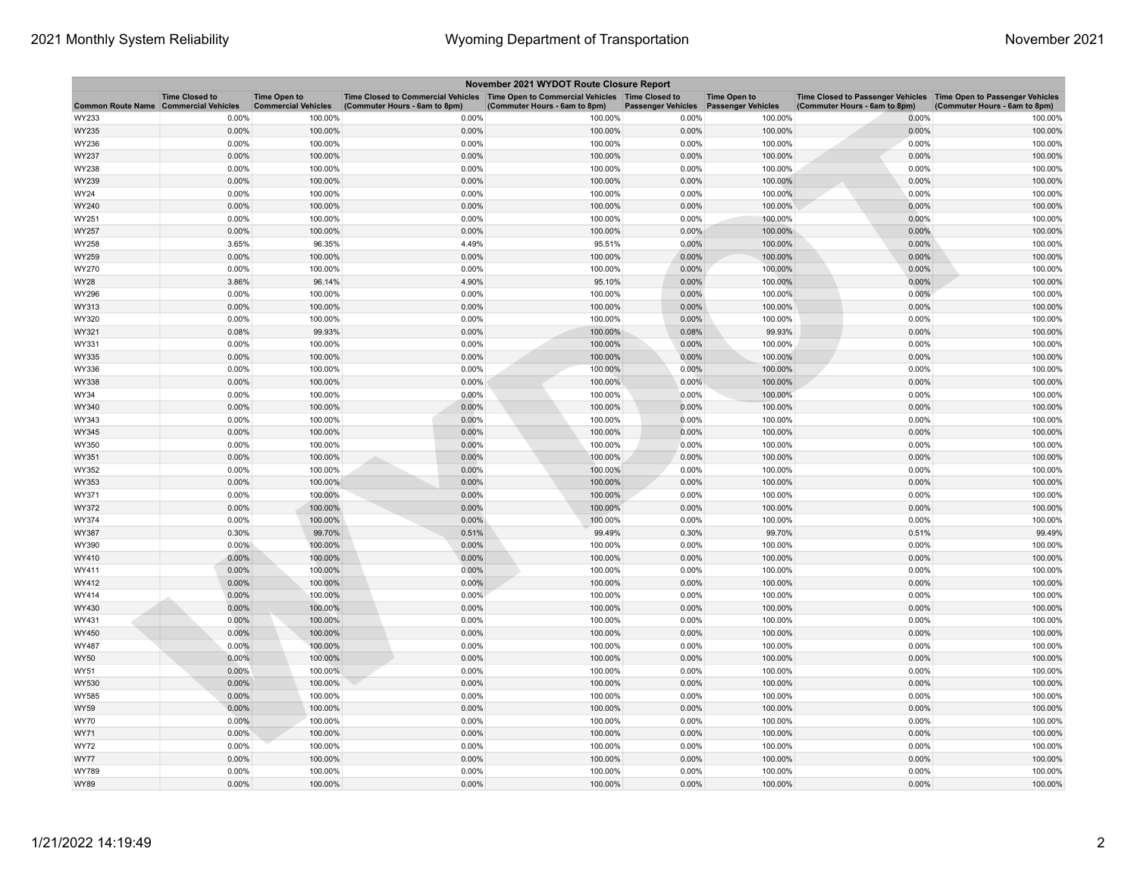| November 2021 WYDOT Route Closure Report |                                                     |                                                   |                                                                                                                         |                               |                           |                                                  |                                                                                                      |                               |  |
|------------------------------------------|-----------------------------------------------------|---------------------------------------------------|-------------------------------------------------------------------------------------------------------------------------|-------------------------------|---------------------------|--------------------------------------------------|------------------------------------------------------------------------------------------------------|-------------------------------|--|
| <b>Common Route Name</b>                 | <b>Time Closed to</b><br><b>Commercial Vehicles</b> | <b>Time Open to</b><br><b>Commercial Vehicles</b> | Time Closed to Commercial Vehicles   Time Open to Commercial Vehicles   Time Closed to<br>(Commuter Hours - 6am to 8pm) | (Commuter Hours - 6am to 8pm) | <b>Passenger Vehicles</b> | <b>Time Open to</b><br><b>Passenger Vehicles</b> | Time Closed to Passenger Vehicles   Time Open to Passenger Vehicles<br>(Commuter Hours - 6am to 8pm) | (Commuter Hours - 6am to 8pm) |  |
| WY233                                    | 0.00%                                               | 100.00%                                           | 0.00%                                                                                                                   | 100.00%                       | 0.00%                     | 100.00%                                          | 0.00%                                                                                                | 100.00%                       |  |
| WY235                                    | 0.00%                                               | 100.00%                                           | 0.00%                                                                                                                   | 100.00%                       | 0.00%                     | 100.00%                                          | 0.00%                                                                                                | 100.00%                       |  |
| WY236                                    | 0.00%                                               | 100.00%                                           | 0.00%                                                                                                                   | 100.00%                       | 0.00%                     | 100.00%                                          | 0.00%                                                                                                | 100.00%                       |  |
| WY237                                    | 0.00%                                               | 100.00%                                           | 0.00%                                                                                                                   | 100.00%                       | 0.00%                     | 100.00%                                          | 0.00%                                                                                                | 100.00%                       |  |
| WY238                                    | 0.00%                                               | 100.00%                                           | 0.00%                                                                                                                   | 100.00%                       | 0.00%                     | 100.00%                                          | 0.00%                                                                                                | 100.00%                       |  |
| WY239                                    | 0.00%                                               | 100.00%                                           | 0.00%                                                                                                                   | 100.00%                       | 0.00%                     | 100.00%                                          | 0.00%                                                                                                | 100.00%                       |  |
| WY24                                     | 0.00%                                               | 100.00%                                           | 0.00%                                                                                                                   | 100.00%                       | 0.00%                     | 100.00%                                          | 0.00%                                                                                                | 100.00%                       |  |
| WY240                                    | 0.00%                                               | 100.00%                                           | 0.00%                                                                                                                   | 100.00%                       | 0.00%                     | 100.00%                                          | 0.00%                                                                                                | 100.00%                       |  |
| WY251                                    | 0.00%                                               | 100.00%                                           | 0.00%                                                                                                                   | 100.00%                       | 0.00%                     | 100.00%                                          | 0.00%                                                                                                | 100.00%                       |  |
| WY257                                    | $0.00\%$                                            | 100.00%                                           | 0.00%                                                                                                                   | 100.00%                       | 0.00%                     | 100.00%                                          | 0.00%                                                                                                | 100.00%                       |  |
| WY258                                    | 3.65%                                               | 96.35%                                            | 4.49%                                                                                                                   | 95.51%                        | 0.00%                     | 100.00%                                          | 0.00%                                                                                                | 100.00%                       |  |
| WY259                                    | 0.00%                                               | 100.00%                                           | 0.00%                                                                                                                   | 100.00%                       | 0.00%                     | 100.00%                                          | 0.00%                                                                                                | 100.00%                       |  |
| WY270                                    | 0.00%                                               | 100.00%                                           | 0.00%                                                                                                                   | 100.00%                       | 0.00%                     | 100.00%                                          | 0.00%                                                                                                | 100.00%                       |  |
| WY28                                     | 3.86%                                               | 96.14%                                            | 4.90%                                                                                                                   | 95.10%                        | 0.00%                     | 100.00%                                          | 0.00%                                                                                                | 100.00%                       |  |
| WY296                                    | 0.00%                                               | 100.00%                                           | 0.00%                                                                                                                   | 100.00%                       | 0.00%                     | 100.00%                                          | 0.00%                                                                                                | 100.00%                       |  |
| WY313                                    | 0.00%                                               | 100.00%                                           | 0.00%                                                                                                                   | 100.00%                       | 0.00%                     | 100.00%                                          | 0.00%                                                                                                | 100.00%                       |  |
| WY320                                    | 0.00%                                               | 100.00%                                           | 0.00%                                                                                                                   | 100.00%                       | 0.00%                     | 100.00%                                          | 0.00%                                                                                                | 100.00%                       |  |
| WY321                                    | 0.08%                                               | 99.93%                                            | 0.00%                                                                                                                   | 100.00%                       | 0.08%                     | 99.93%                                           | 0.00%                                                                                                | 100.00%                       |  |
| WY331                                    | 0.00%                                               | 100.00%                                           | 0.00%                                                                                                                   | 100.00%                       | 0.00%                     | 100.00%                                          | 0.00%                                                                                                | 100.00%                       |  |
| WY335                                    | 0.00%                                               | 100.00%                                           | 0.00%                                                                                                                   | 100.00%                       | 0.00%                     | 100.00%                                          | 0.00%                                                                                                | 100.00%                       |  |
| WY336                                    | 0.00%                                               | 100.00%                                           | 0.00%                                                                                                                   | 100.00%                       | 0.00%                     | 100.00%                                          | 0.00%                                                                                                | 100.00%                       |  |
| WY338                                    | 0.00%                                               | 100.00%                                           | 0.00%                                                                                                                   | 100.00%                       | 0.00%                     | 100.00%                                          | 0.00%                                                                                                | 100.00%                       |  |
| WY34                                     | 0.00%                                               | 100.00%                                           | 0.00%                                                                                                                   | 100.00%                       | 0.00%                     | 100.00%                                          | 0.00%                                                                                                | 100.00%                       |  |
| WY340                                    | 0.00%                                               | 100.00%                                           | 0.00%                                                                                                                   | 100.00%                       | 0.00%                     | 100.00%                                          | 0.00%                                                                                                | 100.00%                       |  |
| WY343                                    | 0.00%                                               | 100.00%                                           | 0.00%                                                                                                                   | 100.00%                       | 0.00%                     | 100.00%                                          | 0.00%                                                                                                | 100.00%                       |  |
| WY345                                    | 0.00%                                               | 100.00%                                           | 0.00%                                                                                                                   | 100.00%                       | 0.00%                     | 100.00%                                          | 0.00%                                                                                                | 100.00%                       |  |
| WY350                                    | 0.00%                                               | 100.00%                                           | 0.00%                                                                                                                   | 100.00%                       | 0.00%                     | 100.00%                                          | 0.00%                                                                                                | 100.00%                       |  |
| WY351                                    | 0.00%                                               | 100.00%                                           | 0.00%                                                                                                                   | 100.00%                       | $0.00\%$                  | 100.00%                                          | 0.00%                                                                                                | 100.00%                       |  |
| WY352                                    | 0.00%                                               | 100.00%                                           | 0.00%                                                                                                                   | 100.00%                       | 0.00%                     | 100.00%                                          | 0.00%                                                                                                | 100.00%                       |  |
| WY353                                    | 0.00%                                               | 100.00%                                           | 0.00%                                                                                                                   | 100.00%                       | 0.00%                     | 100.00%                                          | 0.00%                                                                                                | 100.00%                       |  |
| WY371                                    | 0.00%                                               | 100.00%                                           | 0.00%                                                                                                                   | 100.00%                       | 0.00%                     | 100.00%                                          | 0.00%                                                                                                | 100.00%                       |  |
| WY372                                    | 0.00%                                               | 100.00%                                           | 0.00%                                                                                                                   | 100.00%                       | 0.00%                     | 100.00%                                          | 0.00%                                                                                                | 100.00%                       |  |
| WY374                                    | 0.00%                                               | 100.00%                                           | 0.00%                                                                                                                   | 100.00%                       | 0.00%                     | 100.00%                                          | 0.00%                                                                                                | 100.00%                       |  |
| WY387                                    | 0.30%                                               | 99.70%                                            | 0.51%                                                                                                                   | 99.49%                        | 0.30%                     | 99.70%                                           | 0.51%                                                                                                | 99.49%                        |  |
| WY390                                    | $0.00\%$                                            | 100.00%                                           | 0.00%                                                                                                                   | 100.00%                       | 0.00%                     | 100.00%                                          | 0.00%                                                                                                | 100.00%                       |  |
| WY410                                    | 0.00%                                               | 100.00%                                           | 0.00%                                                                                                                   | 100.00%                       | 0.00%                     | 100.00%                                          | 0.00%                                                                                                | 100.00%                       |  |
| WY411                                    | 0.00%                                               | 100.00%                                           | 0.00%                                                                                                                   | 100.00%                       | 0.00%                     | 100.00%                                          | 0.00%                                                                                                | 100.00%                       |  |
| WY412                                    | 0.00%                                               | 100.00%                                           | 0.00%                                                                                                                   | 100.00%                       | $0.00\%$                  | 100.00%                                          | 0.00%                                                                                                | 100.00%                       |  |
| WY414                                    | 0.00%                                               | 100.00%                                           | 0.00%                                                                                                                   | 100.00%                       | 0.00%                     | 100.00%                                          | 0.00%                                                                                                | 100.00%                       |  |
| WY430                                    | 0.00%                                               | 100.00%                                           | 0.00%                                                                                                                   | 100.00%                       | 0.00%                     | 100.00%                                          | 0.00%                                                                                                | 100.00%                       |  |
| WY431                                    | 0.00%                                               | 100.00%                                           | 0.00%                                                                                                                   | 100.00%                       | 0.00%                     | 100.00%                                          | 0.00%                                                                                                | 100.00%                       |  |
| WY450                                    | 0.00%                                               | 100.00%                                           | 0.00%                                                                                                                   | 100.00%                       | 0.00%                     | 100.00%                                          | 0.00%                                                                                                | 100.00%                       |  |
| WY487                                    | 0.00%                                               | 100.00%                                           | 0.00%                                                                                                                   | 100.00%                       | 0.00%                     | 100.00%                                          | 0.00%                                                                                                | 100.00%                       |  |
| <b>WY50</b>                              | 0.00%                                               | 100.00%                                           | 0.00%                                                                                                                   | 100.00%                       | 0.00%                     | 100.00%                                          | 0.00%                                                                                                | 100.00%                       |  |
| WY51                                     | 0.00%                                               | 100.00%                                           | 0.00%                                                                                                                   | 100.00%                       | 0.00%                     | 100.00%                                          | 0.00%                                                                                                | 100.00%                       |  |
| WY530                                    | 0.00%                                               | 100.00%                                           | 0.00%                                                                                                                   | 100.00%                       | 0.00%                     | 100.00%                                          | 0.00%                                                                                                | 100.00%                       |  |
| WY585                                    | 0.00%                                               | 100.00%                                           | 0.00%                                                                                                                   | 100.00%                       | 0.00%                     | 100.00%                                          | 0.00%                                                                                                | 100.00%                       |  |
| WY59                                     | 0.00%                                               | 100.00%                                           | 0.00%                                                                                                                   | 100.00%                       | 0.00%                     | 100.00%                                          | 0.00%                                                                                                | 100.00%                       |  |
| <b>WY70</b>                              | 0.00%                                               | 100.00%                                           | 0.00%                                                                                                                   | 100.00%                       | 0.00%                     | 100.00%                                          | 0.00%                                                                                                | 100.00%                       |  |
| WY71                                     | 0.00%                                               | 100.00%                                           | 0.00%                                                                                                                   | 100.00%                       | 0.00%                     | 100.00%                                          | 0.00%                                                                                                | 100.00%                       |  |
| <b>WY72</b>                              | 0.00%                                               | 100.00%                                           | 0.00%                                                                                                                   | 100.00%                       | 0.00%                     | 100.00%                                          | 0.00%                                                                                                | 100.00%                       |  |
| <b>WY77</b>                              | 0.00%                                               | 100.00%                                           | 0.00%                                                                                                                   | 100.00%                       | 0.00%                     | 100.00%                                          | 0.00%                                                                                                | 100.00%                       |  |
| WY789                                    | 0.00%                                               | 100.00%                                           | 0.00%                                                                                                                   | 100.00%                       | 0.00%                     | 100.00%                                          | 0.00%                                                                                                | 100.00%                       |  |
| <b>WY89</b>                              | 0.00%                                               | 100.00%                                           | 0.00%                                                                                                                   | 100.00%                       | 0.00%                     | 100.00%                                          | 0.00%                                                                                                | 100.00%                       |  |